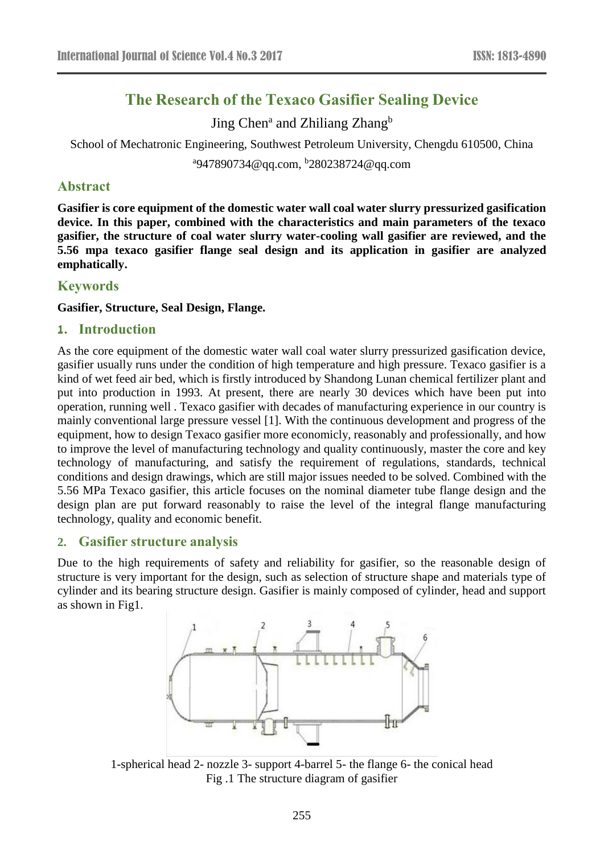# **The Research of the Texaco Gasifier Sealing Device**

Jing Chen<sup>a</sup> and Zhiliang Zhang<sup>b</sup>

School of Mechatronic Engineering, Southwest Petroleum University, Chengdu 610500, China

a 947890734@qq.com, b 280238724@qq.com

#### **Abstract**

**Gasifier is core equipment of the domestic water wall coal water slurry pressurized gasification device. In this paper, combined with the characteristics and main parameters of the texaco gasifier, the structure of coal water slurry water-cooling wall gasifier are reviewed, and the 5.56 mpa texaco gasifier flange seal design and its application in gasifier are analyzed emphatically.**

### **Keywords**

#### **Gasifier, Structure, Seal Design, Flange.**

#### **1. Introduction**

As the core equipment of the domestic water wall coal water slurry pressurized gasification device, gasifier usually runs under the condition of high temperature and high pressure. Texaco gasifier is a kind of wet feed air bed, which is firstly introduced by Shandong Lunan chemical fertilizer plant and put into production in 1993. At present, there are nearly 30 devices which have been put into operation, running well . Texaco gasifier with decades of manufacturing experience in our country is mainly conventional large pressure vessel [1]. With the continuous development and progress of the equipment, how to design Texaco gasifier more economicly, reasonably and professionally, and how to improve the level of manufacturing technology and quality continuously, master the core and key technology of manufacturing, and satisfy the requirement of regulations, standards, technical conditions and design drawings, which are still major issues needed to be solved. Combined with the 5.56 MPa Texaco gasifier, this article focuses on the nominal diameter tube flange design and the design plan are put forward reasonably to raise the level of the integral flange manufacturing technology, quality and economic benefit.

#### **2. Gasifier structure analysis**

Due to the high requirements of safety and reliability for gasifier, so the reasonable design of structure is very important for the design, such as selection of structure shape and materials type of cylinder and its bearing structure design. Gasifier is mainly composed of cylinder, head and support as shown in Fig1.



1-spherical head 2- nozzle 3- support 4-barrel 5- the flange 6- the conical head Fig .1 The structure diagram of gasifier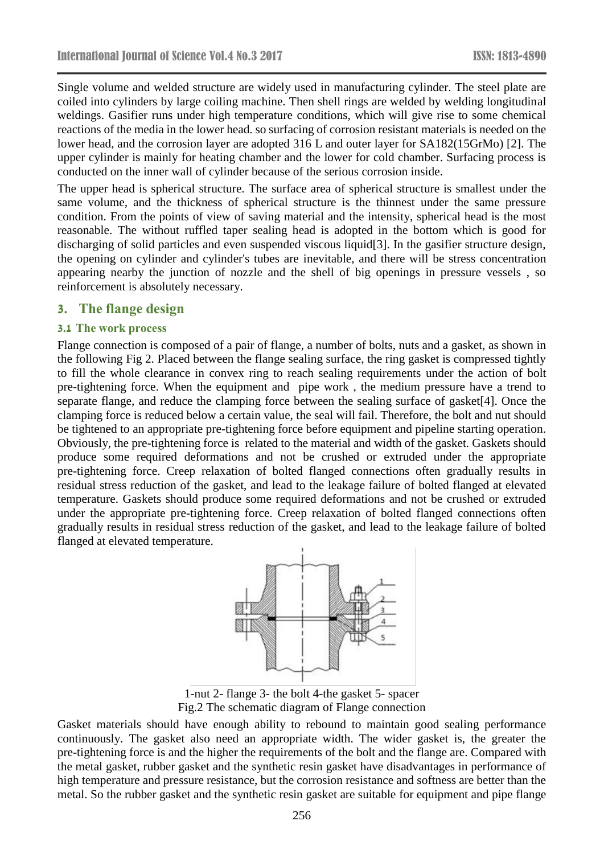Single volume and welded structure are widely used in manufacturing cylinder. The steel plate are coiled into cylinders by large coiling machine. Then shell rings are welded by welding longitudinal weldings. Gasifier runs under high temperature conditions, which will give rise to some chemical reactions of the media in the lower head. so surfacing of corrosion resistant materials is needed on the lower head, and the corrosion layer are adopted 316 L and outer layer for SA182(15GrMo) [2]. The upper cylinder is mainly for heating chamber and the lower for cold chamber. Surfacing process is conducted on the inner wall of cylinder because of the serious corrosion inside.

The upper head is spherical structure. The surface area of spherical structure is smallest under the same volume, and the thickness of spherical structure is the thinnest under the same pressure condition. From the points of view of saving material and the intensity, spherical head is the most reasonable. The without ruffled taper sealing head is adopted in the bottom which is good for discharging of solid particles and even suspended viscous liquid[3]. In the gasifier structure design, the opening on cylinder and cylinder's tubes are inevitable, and there will be stress concentration appearing nearby the junction of nozzle and the shell of big openings in pressure vessels , so reinforcement is absolutely necessary.

#### **3. The flange design**

#### **3.1 The work process**

Flange connection is composed of a pair of flange, a number of bolts, nuts and a gasket, as shown in the following Fig 2. Placed between the flange sealing surface, the ring gasket is compressed tightly to fill the whole clearance in convex ring to reach sealing requirements under the action of bolt pre-tightening force. When the equipment and pipe work , the medium pressure have a trend to separate flange, and reduce the clamping force between the sealing surface of gasket[4]. Once the clamping force is reduced below a certain value, the seal will fail. Therefore, the bolt and nut should be tightened to an appropriate pre-tightening force before equipment and pipeline starting operation. Obviously, the pre-tightening force is related to the material and width of the gasket. Gaskets should produce some required deformations and not be crushed or extruded under the appropriate pre-tightening force. Creep relaxation of bolted flanged connections often gradually results in residual stress reduction of the gasket, and lead to the leakage failure of bolted flanged at elevated temperature. Gaskets should produce some required deformations and not be crushed or extruded under the appropriate pre-tightening force. Creep relaxation of bolted flanged connections often gradually results in residual stress reduction of the gasket, and lead to the leakage failure of bolted flanged at elevated temperature.



1-nut 2- flange 3- the bolt 4-the gasket 5- spacer Fig.2 The schematic diagram of Flange connection

Gasket materials should have enough ability to rebound to maintain good sealing performance continuously. The gasket also need an appropriate width. The wider gasket is, the greater the pre-tightening force is and the higher the requirements of the bolt and the flange are. Compared with the metal gasket, rubber gasket and the synthetic resin gasket have disadvantages in performance of high temperature and pressure resistance, but the corrosion resistance and softness are better than the metal. So the rubber gasket and the synthetic resin gasket are suitable for equipment and pipe flange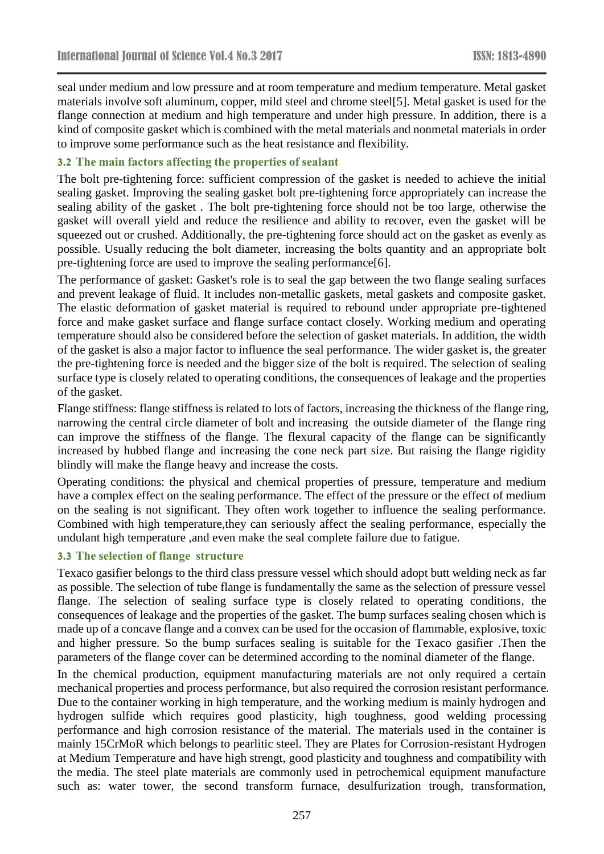seal under medium and low pressure and at room temperature and medium temperature. Metal gasket materials involve soft aluminum, copper, mild steel and chrome steel[5]. Metal gasket is used for the flange connection at medium and high temperature and under high pressure. In addition, there is a kind of composite gasket which is combined with the metal materials and nonmetal materials in order to improve some performance such as the heat resistance and flexibility.

#### **3.2 The main factors affecting the properties of sealant**

The bolt pre-tightening force: sufficient compression of the gasket is needed to achieve the initial sealing gasket. Improving the sealing gasket bolt pre-tightening force appropriately can increase the sealing ability of the gasket . The bolt pre-tightening force should not be too large, otherwise the gasket will overall yield and reduce the resilience and ability to recover, even the gasket will be squeezed out or crushed. Additionally, the pre-tightening force should act on the gasket as evenly as possible. Usually reducing the bolt diameter, increasing the bolts quantity and an appropriate bolt pre-tightening force are used to improve the sealing performance[6].

The performance of gasket: Gasket's role is to seal the gap between the two flange sealing surfaces and prevent leakage of fluid. It includes non-metallic gaskets, metal gaskets and composite gasket. The elastic deformation of gasket material is required to rebound under appropriate pre-tightened force and make gasket surface and flange surface contact closely. Working medium and operating temperature should also be considered before the selection of gasket materials. In addition, the width of the gasket is also a major factor to influence the seal performance. The wider gasket is, the greater the pre-tightening force is needed and the bigger size of the bolt is required. The selection of sealing surface type is closely related to operating conditions, the consequences of leakage and the properties of the gasket.

Flange stiffness: flange stiffness is related to lots of factors, increasing the thickness of the flange ring, narrowing the central circle diameter of bolt and increasing the outside diameter of the flange ring can improve the stiffness of the flange. The flexural capacity of the flange can be significantly increased by hubbed flange and increasing the cone neck part size. But raising the flange rigidity blindly will make the flange heavy and increase the costs.

Operating conditions: the physical and chemical properties of pressure, temperature and medium have a complex effect on the sealing performance. The effect of the pressure or the effect of medium on the sealing is not significant. They often work together to influence the sealing performance. Combined with high temperature,they can seriously affect the sealing performance, especially the undulant high temperature ,and even make the seal complete failure due to fatigue.

#### **3.3 The selection of flange structure**

Texaco gasifier belongs to the third class pressure vessel which should adopt butt welding neck as far as possible. The selection of tube flange is fundamentally the same as the selection of pressure vessel flange. The selection of sealing surface type is closely related to operating conditions, the consequences of leakage and the properties of the gasket. The bump surfaces sealing chosen which is made up of a concave flange and a convex can be used for the occasion of flammable, explosive, toxic and higher pressure. So the bump surfaces sealing is suitable for the Texaco gasifier .Then the parameters of the flange cover can be determined according to the nominal diameter of the flange.

In the chemical production, equipment manufacturing materials are not only required a certain mechanical properties and process performance, but also required the corrosion resistant performance. Due to the container working in high temperature, and the working medium is mainly hydrogen and hydrogen sulfide which requires good plasticity, high toughness, good welding processing performance and high corrosion resistance of the material. The materials used in the container is mainly 15CrMoR which belongs to pearlitic steel. They are Plates for Corrosion-resistant Hydrogen at Medium Temperature and have high strengt, good plasticity and toughness and compatibility with the media. The steel plate materials are commonly used in petrochemical equipment manufacture such as: water tower, the second transform furnace, desulfurization trough, transformation,